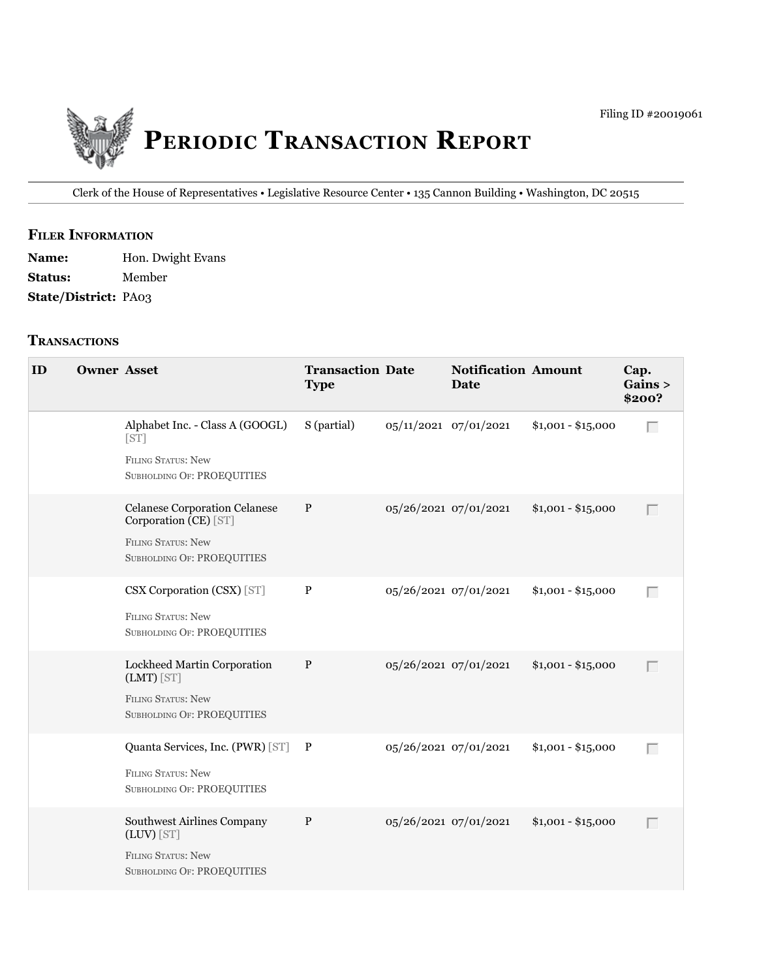

Clerk of the House of Representatives • legislative Resource Center • 135 Cannon building • Washington, DC 20515

## **fIler INfOrmATION**

| <b>Name:</b>                | Hon. Dwight Evans |
|-----------------------------|-------------------|
| <b>Status:</b>              | Member            |
| <b>State/District: PA03</b> |                   |

#### **TrANSACTIONS**

| ID | <b>Owner Asset</b> |                                                                                                                          | <b>Transaction Date</b><br><b>Type</b> |                       | <b>Notification Amount</b><br><b>Date</b> |                    | Cap.<br>Gains ><br>\$200? |
|----|--------------------|--------------------------------------------------------------------------------------------------------------------------|----------------------------------------|-----------------------|-------------------------------------------|--------------------|---------------------------|
|    |                    | Alphabet Inc. - Class A (GOOGL)<br>[ST]<br><b>FILING STATUS: New</b><br>SUBHOLDING OF: PROEQUITIES                       | S (partial)                            | 05/11/2021 07/01/2021 |                                           | $$1,001 - $15,000$ | Г                         |
|    |                    | <b>Celanese Corporation Celanese</b><br>Corporation (CE) [ST]<br><b>FILING STATUS: New</b><br>SUBHOLDING OF: PROEQUITIES | $\mathbf{P}$                           | 05/26/2021 07/01/2021 |                                           | $$1,001 - $15,000$ | $\Box$                    |
|    |                    | CSX Corporation (CSX) [ST]<br>FILING STATUS: New<br>SUBHOLDING OF: PROEQUITIES                                           | $\, {\bf P}$                           | 05/26/2021 07/01/2021 |                                           | $$1,001 - $15,000$ | $\Box$                    |
|    |                    | Lockheed Martin Corporation<br>$(LMT)$ [ST]<br><b>FILING STATUS: New</b><br>SUBHOLDING OF: PROEQUITIES                   | P                                      | 05/26/2021 07/01/2021 |                                           | $$1,001 - $15,000$ | $\Box$                    |
|    |                    | Quanta Services, Inc. (PWR) [ST] P<br><b>FILING STATUS: New</b><br><b>SUBHOLDING OF: PROEQUITIES</b>                     |                                        | 05/26/2021 07/01/2021 |                                           | $$1,001 - $15,000$ | $\Box$                    |
|    |                    | Southwest Airlines Company<br>(LUV) [ST]<br>FILING STATUS: New<br><b>SUBHOLDING OF: PROEQUITIES</b>                      | $\, {\bf P}$                           | 05/26/2021 07/01/2021 |                                           | $$1,001 - $15,000$ | $\Box$                    |